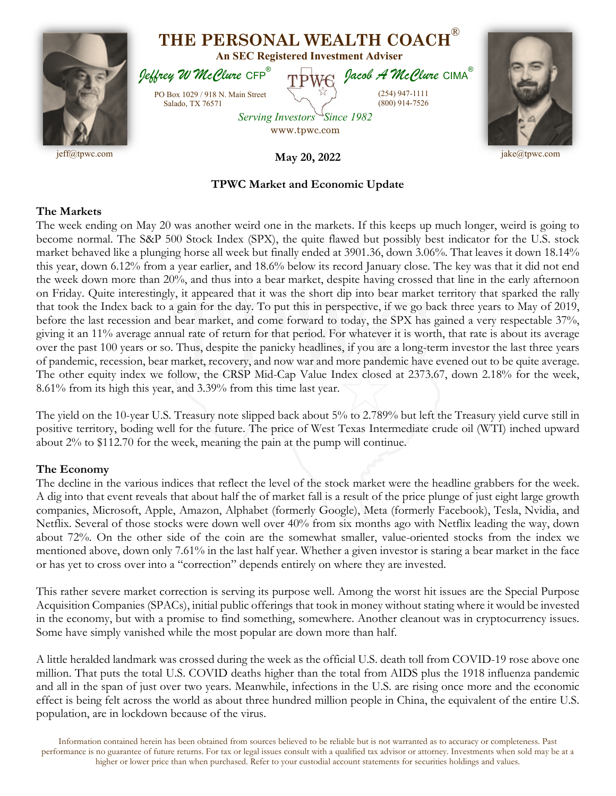

## **TPWC Market and Economic Update**

## **The Markets**

The week ending on May 20 was another weird one in the markets. If this keeps up much longer, weird is going to become normal. The S&P 500 Stock Index (SPX), the quite flawed but possibly best indicator for the U.S. stock market behaved like a plunging horse all week but finally ended at 3901.36, down 3.06%. That leaves it down 18.14% this year, down 6.12% from a year earlier, and 18.6% below its record January close. The key was that it did not end the week down more than 20%, and thus into a bear market, despite having crossed that line in the early afternoon on Friday. Quite interestingly, it appeared that it was the short dip into bear market territory that sparked the rally that took the Index back to a gain for the day. To put this in perspective, if we go back three years to May of 2019, before the last recession and bear market, and come forward to today, the SPX has gained a very respectable 37%, giving it an 11% average annual rate of return for that period. For whatever it is worth, that rate is about its average over the past 100 years or so. Thus, despite the panicky headlines, if you are a long-term investor the last three years of pandemic, recession, bear market, recovery, and now war and more pandemic have evened out to be quite average. The other equity index we follow, the CRSP Mid-Cap Value Index closed at 2373.67, down 2.18% for the week, 8.61% from its high this year, and 3.39% from this time last year.

The yield on the 10-year U.S. Treasury note slipped back about 5% to 2.789% but left the Treasury yield curve still in positive territory, boding well for the future. The price of West Texas Intermediate crude oil (WTI) inched upward about 2% to \$112.70 for the week, meaning the pain at the pump will continue.

## **The Economy**

The decline in the various indices that reflect the level of the stock market were the headline grabbers for the week. A dig into that event reveals that about half the of market fall is a result of the price plunge of just eight large growth companies, Microsoft, Apple, Amazon, Alphabet (formerly Google), Meta (formerly Facebook), Tesla, Nvidia, and Netflix. Several of those stocks were down well over 40% from six months ago with Netflix leading the way, down about 72%. On the other side of the coin are the somewhat smaller, value-oriented stocks from the index we mentioned above, down only 7.61% in the last half year. Whether a given investor is staring a bear market in the face or has yet to cross over into a "correction" depends entirely on where they are invested.

This rather severe market correction is serving its purpose well. Among the worst hit issues are the Special Purpose Acquisition Companies (SPACs), initial public offerings that took in money without stating where it would be invested in the economy, but with a promise to find something, somewhere. Another cleanout was in cryptocurrency issues. Some have simply vanished while the most popular are down more than half.

A little heralded landmark was crossed during the week as the official U.S. death toll from COVID-19 rose above one million. That puts the total U.S. COVID deaths higher than the total from AIDS plus the 1918 influenza pandemic and all in the span of just over two years. Meanwhile, infections in the U.S. are rising once more and the economic effect is being felt across the world as about three hundred million people in China, the equivalent of the entire U.S. population, are in lockdown because of the virus.